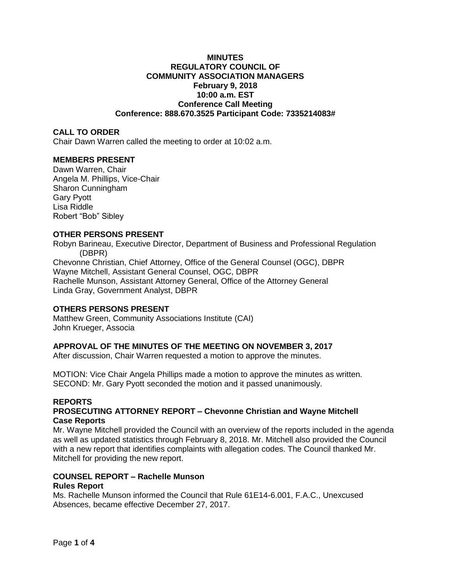# **MINUTES REGULATORY COUNCIL OF COMMUNITY ASSOCIATION MANAGERS February 9, 2018 10:00 a.m. EST Conference Call Meeting Conference: 888.670.3525 Participant Code: 7335214083#**

# **CALL TO ORDER**

Chair Dawn Warren called the meeting to order at 10:02 a.m.

# **MEMBERS PRESENT**

Dawn Warren, Chair Angela M. Phillips, Vice-Chair Sharon Cunningham Gary Pyott Lisa Riddle Robert "Bob" Sibley

## **OTHER PERSONS PRESENT**

Robyn Barineau, Executive Director, Department of Business and Professional Regulation (DBPR)

Chevonne Christian, Chief Attorney, Office of the General Counsel (OGC), DBPR Wayne Mitchell, Assistant General Counsel, OGC, DBPR Rachelle Munson, Assistant Attorney General, Office of the Attorney General Linda Gray, Government Analyst, DBPR

## **OTHERS PERSONS PRESENT**

Matthew Green, Community Associations Institute (CAI) John Krueger, Associa

## **APPROVAL OF THE MINUTES OF THE MEETING ON NOVEMBER 3, 2017**

After discussion, Chair Warren requested a motion to approve the minutes.

MOTION: Vice Chair Angela Phillips made a motion to approve the minutes as written. SECOND: Mr. Gary Pyott seconded the motion and it passed unanimously.

# **REPORTS**

# **PROSECUTING ATTORNEY REPORT – Chevonne Christian and Wayne Mitchell Case Reports**

Mr. Wayne Mitchell provided the Council with an overview of the reports included in the agenda as well as updated statistics through February 8, 2018. Mr. Mitchell also provided the Council with a new report that identifies complaints with allegation codes. The Council thanked Mr. Mitchell for providing the new report.

# **COUNSEL REPORT – Rachelle Munson**

# **Rules Report**

Ms. Rachelle Munson informed the Council that Rule 61E14-6.001, F.A.C., Unexcused Absences, became effective December 27, 2017.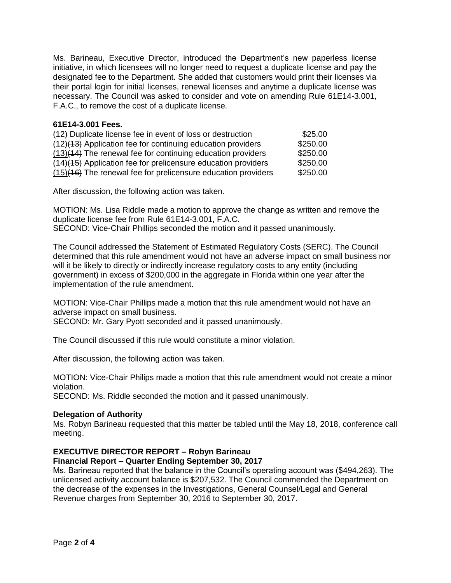Ms. Barineau, Executive Director, introduced the Department's new paperless license initiative, in which licensees will no longer need to request a duplicate license and pay the designated fee to the Department. She added that customers would print their licenses via their portal login for initial licenses, renewal licenses and anytime a duplicate license was necessary. The Council was asked to consider and vote on amending Rule 61E14-3.001, F.A.C., to remove the cost of a duplicate license.

## **61E14-3.001 Fees.**

| (12) Duplicate license fee in event of loss or destruction       | \$25.00  |
|------------------------------------------------------------------|----------|
| (12)(13) Application fee for continuing education providers      | \$250.00 |
| $(13)(44)$ The renewal fee for continuing education providers    | \$250.00 |
| $(14)$ (15) Application fee for prelicensure education providers | \$250.00 |
| $(15)(46)$ The renewal fee for prelicensure education providers  | \$250.00 |

After discussion, the following action was taken.

MOTION: Ms. Lisa Riddle made a motion to approve the change as written and remove the duplicate license fee from Rule 61E14-3.001, F.A.C.

SECOND: Vice-Chair Phillips seconded the motion and it passed unanimously.

The Council addressed the Statement of Estimated Regulatory Costs (SERC). The Council determined that this rule amendment would not have an adverse impact on small business nor will it be likely to directly or indirectly increase regulatory costs to any entity (including government) in excess of \$200,000 in the aggregate in Florida within one year after the implementation of the rule amendment.

MOTION: Vice-Chair Phillips made a motion that this rule amendment would not have an adverse impact on small business.

SECOND: Mr. Gary Pyott seconded and it passed unanimously.

The Council discussed if this rule would constitute a minor violation.

After discussion, the following action was taken.

MOTION: Vice-Chair Philips made a motion that this rule amendment would not create a minor violation.

SECOND: Ms. Riddle seconded the motion and it passed unanimously.

## **Delegation of Authority**

Ms. Robyn Barineau requested that this matter be tabled until the May 18, 2018, conference call meeting.

# **EXECUTIVE DIRECTOR REPORT – Robyn Barineau**

**Financial Report – Quarter Ending September 30, 2017**

Ms. Barineau reported that the balance in the Council's operating account was (\$494,263). The unlicensed activity account balance is \$207,532. The Council commended the Department on the decrease of the expenses in the Investigations, General Counsel/Legal and General Revenue charges from September 30, 2016 to September 30, 2017.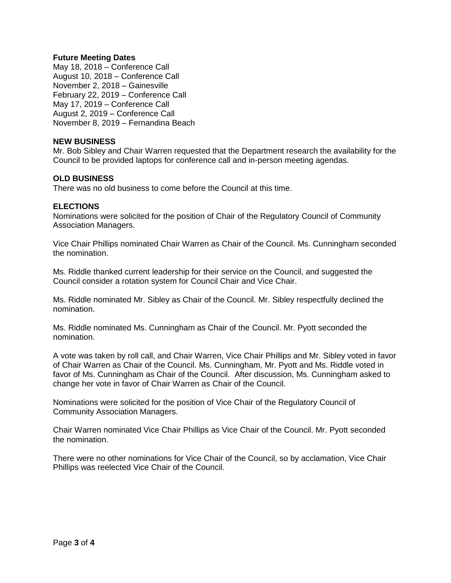# **Future Meeting Dates**

May 18, 2018 – Conference Call August 10, 2018 – Conference Call November 2, 2018 – Gainesville February 22, 2019 – Conference Call May 17, 2019 – Conference Call August 2, 2019 – Conference Call November 8, 2019 – Fernandina Beach

# **NEW BUSINESS**

Mr. Bob Sibley and Chair Warren requested that the Department research the availability for the Council to be provided laptops for conference call and in-person meeting agendas.

# **OLD BUSINESS**

There was no old business to come before the Council at this time.

# **ELECTIONS**

Nominations were solicited for the position of Chair of the Regulatory Council of Community Association Managers.

Vice Chair Phillips nominated Chair Warren as Chair of the Council. Ms. Cunningham seconded the nomination.

Ms. Riddle thanked current leadership for their service on the Council, and suggested the Council consider a rotation system for Council Chair and Vice Chair.

Ms. Riddle nominated Mr. Sibley as Chair of the Council. Mr. Sibley respectfully declined the nomination.

Ms. Riddle nominated Ms. Cunningham as Chair of the Council. Mr. Pyott seconded the nomination.

A vote was taken by roll call, and Chair Warren, Vice Chair Phillips and Mr. Sibley voted in favor of Chair Warren as Chair of the Council. Ms. Cunningham, Mr. Pyott and Ms. Riddle voted in favor of Ms. Cunningham as Chair of the Council. After discussion, Ms. Cunningham asked to change her vote in favor of Chair Warren as Chair of the Council.

Nominations were solicited for the position of Vice Chair of the Regulatory Council of Community Association Managers.

Chair Warren nominated Vice Chair Phillips as Vice Chair of the Council. Mr. Pyott seconded the nomination.

There were no other nominations for Vice Chair of the Council, so by acclamation, Vice Chair Phillips was reelected Vice Chair of the Council.